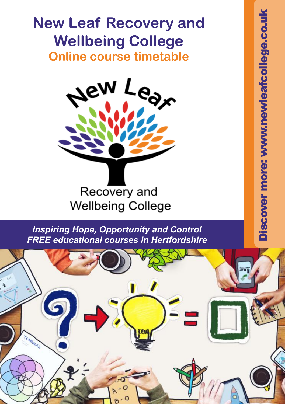### **New Leaf Recovery and Wellbeing College Online course timetable**



*Inspiring Hope, Opportunity and Control FREE educational courses in Hertfordshire*

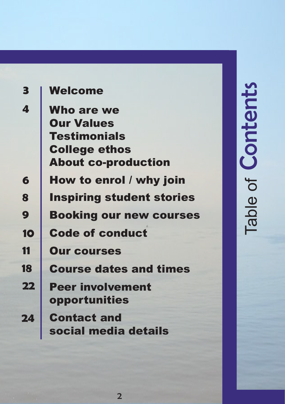| 3  | Welcome                                                                                                             |  |  |
|----|---------------------------------------------------------------------------------------------------------------------|--|--|
| 4  | <b>Who are we</b><br><b>Our Values</b><br><b>Testimonials</b><br><b>College ethos</b><br><b>About co-production</b> |  |  |
| 6  | How to enrol / why join                                                                                             |  |  |
| 8  | <b>Inspiring student stories</b>                                                                                    |  |  |
| 9  | <b>Booking our new courses</b>                                                                                      |  |  |
| 10 | <b>Code of conduct</b>                                                                                              |  |  |
| 11 | <b>Our courses</b>                                                                                                  |  |  |
| 18 | <b>Course dates and times</b>                                                                                       |  |  |
| 22 | <b>Peer involvement</b><br>opportunities                                                                            |  |  |
| 24 | <b>Contact and</b><br>social media details                                                                          |  |  |

# **Contents** Table of **Contents**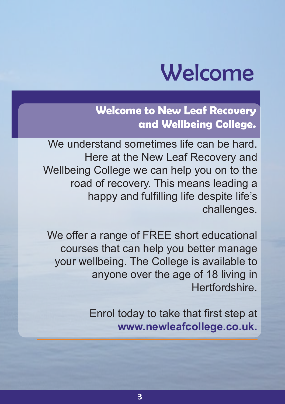## Welcome

**Welcome to New Leaf Recovery and Wellbeing College.**

We understand sometimes life can be hard. Here at the New Leaf Recovery and Wellbeing College we can help you on to the road of recovery. This means leading a happy and fulfilling life despite life's challenges.

We offer a range of FREE short educational courses that can help you better manage your wellbeing. The College is available to anyone over the age of 18 living in Hertfordshire.

> Enrol today to take that first step at **www.newleafcollege.co.uk.**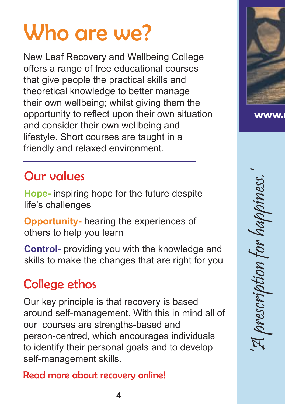## Who are we?

New Leaf Recovery and Wellbeing College offers a range of free educational courses that give people the practical skills and theoretical knowledge to better manage their own wellbeing; whilst giving them the opportunity to reflect upon their own situation and consider their own wellbeing and lifestyle. Short courses are taught in a friendly and relaxed environment.

#### Our values

**Hope-** inspiring hope for the future despite life's challenges

**Opportunity-** hearing the experiences of others to help you learn

**Control-** providing you with the knowledge and skills to make the changes that are right for you

#### College ethos

Our key principle is that recovery is based around self-management. With this in mind all of our courses are strengths-based and person-centred, which encourages individuals to identify their personal goals and to develop self-management skills.

Read more about recovery online!



'A prescription for happiness.' m for habl brescripti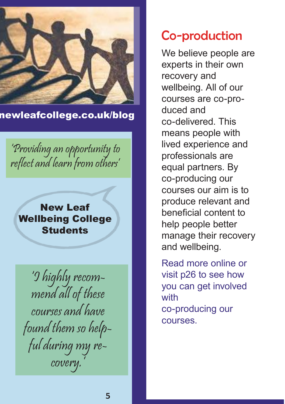

newleafcollege.co.uk/blog

'Providing an opportunity to reflect and learn from others'

New Leaf Wellbeing College **Students** 

'I highly recommend all of these courses and have found them so helpful during my recovery.'

#### Co-production

We believe people are experts in their own recovery and wellbeing. All of our courses are co-produced and co-delivered. This means people with lived experience and professionals are equal partners. By co-producing our courses our aim is to produce relevant and beneficial content to help people better manage their recovery and wellbeing.

Read more online or visit p26 to see how you can get involved with co-producing our courses.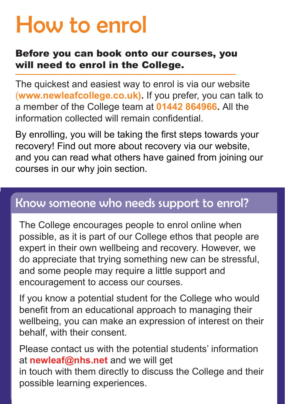## How to enrol

#### Before you can book onto our courses, you will need to enrol in the College.

The quickest and easiest way to enrol is via our website (**www.newleafcollege.co.uk).** If you prefer, you can talk to a member of the College team at **01442 864966.** All the information collected will remain confidential.

By enrolling, you will be taking the first steps towards your recovery! Find out more about recovery via our website, and you can read what others have gained from joining our courses in our why join section.

#### Know someone who needs support to enrol?

The College encourages people to enrol online when possible, as it is part of our College ethos that people are expert in their own wellbeing and recovery. However, we do appreciate that trying something new can be stressful, and some people may require a little support and encouragement to access our courses.

If you know a potential student for the College who would benefit from an educational approach to managing their wellbeing, you can make an expression of interest on their behalf, with their consent.

Please contact us with the potential students' information at **newleaf@nhs.net** and we will get in touch with them directly to discuss the College and their possible learning experiences.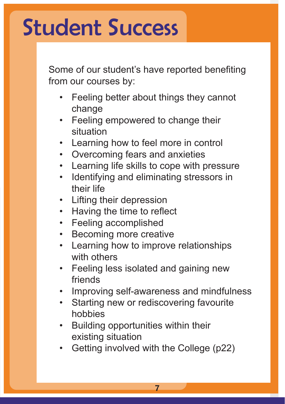## Student Success

Some of our student's have reported benefiting from our courses by:

- Feeling better about things they cannot change
- Feeling empowered to change their situation
- Learning how to feel more in control
- Overcoming fears and anxieties
- Learning life skills to cope with pressure
- Identifying and eliminating stressors in their life
- Lifting their depression
- Having the time to reflect
- Feeling accomplished
- Becoming more creative
- Learning how to improve relationships with others
- Feeling less isolated and gaining new friends
- Improving self-awareness and mindfulness
- Starting new or rediscovering favourite hobbies
- Building opportunities within their existing situation
- Getting involved with the College (p22)

7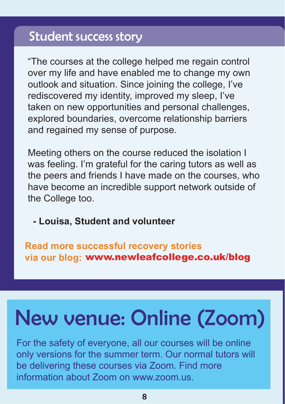#### Student success story

"The courses at the college helped me regain control over my life and have enabled me to change my own outlook and situation. Since joining the college, I've rediscovered my identity, improved my sleep, I've taken on new opportunities and personal challenges, explored boundaries, overcome relationship barriers and regained my sense of purpose.

Meeting others on the course reduced the isolation I was feeling. I'm grateful for the caring tutors as well as the peers and friends I have made on the courses, who have become an incredible support network outside of the College too.

 **- Louisa, Student and volunteer**

**Read more successful recovery stories via our blog:** www.newleafcollege.co.uk/blog

## New venue: Online (Zoom)

For the safety of everyone, all our courses will be online only versions for the summer term. Our normal tutors will be delivering these courses via Zoom. Find more information about Zoom on www.zoom.us.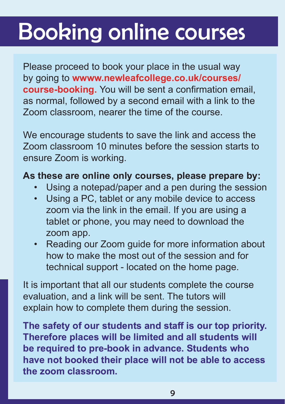## Booking online courses

Please proceed to book your place in the usual way by going to **wwww.newleafcollege.co.uk/courses/ course-booking.** You will be sent a confirmation email, as normal, followed by a second email with a link to the Zoom classroom, nearer the time of the course.

We encourage students to save the link and access the Zoom classroom 10 minutes before the session starts to ensure Zoom is working.

#### **As these are online only courses, please prepare by:**

- Using a notepad/paper and a pen during the session
- Using a PC, tablet or any mobile device to access zoom via the link in the email. If you are using a tablet or phone, you may need to download the zoom app.
- Reading our Zoom guide for more information about how to make the most out of the session and for technical support - located on the home page.

It is important that all our students complete the course evaluation, and a link will be sent. The tutors will explain how to complete them during the session.

**The safety of our students and staff is our top priority. Therefore places will be limited and all students will be required to pre-book in advance. Students who have not booked their place will not be able to access the zoom classroom.**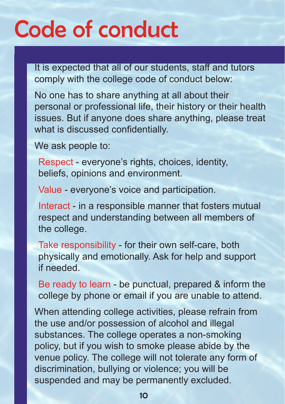## Code of conduct

It is expected that all of our students, staff and tutors comply with the college code of conduct below:

No one has to share anything at all about their personal or professional life, their history or their health issues. But if anyone does share anything, please treat what is discussed confidentially.

We ask people to:

Respect - everyone's rights, choices, identity, beliefs, opinions and environment.

Value - everyone's voice and participation.

Interact - in a responsible manner that fosters mutual respect and understanding between all members of the college.

Take responsibility - for their own self-care, both physically and emotionally. Ask for help and support if needed.

Be ready to learn - be punctual, prepared & inform the college by phone or email if you are unable to attend.

When attending college activities, please refrain from the use and/or possession of alcohol and illegal substances. The college operates a non-smoking policy, but if you wish to smoke please abide by the venue policy. The college will not tolerate any form of discrimination, bullying or violence; you will be suspended and may be permanently excluded.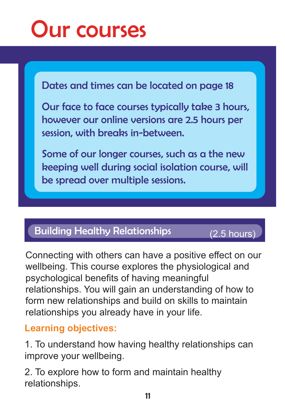

Dates and times can be located on page 18

Our face to face courses typically take 3 hours, however our online versions are 2.5 hours per session, with breaks in-between.

Some of our longer courses, such as a the new keeping well during social isolation course, will be spread over multiple sessions.

#### Building Healthy Relationships (2.5 hours)

Connecting with others can have a positive effect on our wellbeing. This course explores the physiological and psychological benefits of having meaningful relationships. You will gain an understanding of how to form new relationships and build on skills to maintain relationships you already have in your life.

#### **Learning objectives:**

1. To understand how having healthy relationships can improve your wellbeing.

2. To explore how to form and maintain healthy relationships.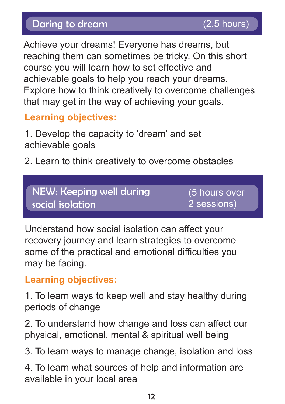Achieve your dreams! Everyone has dreams, but reaching them can sometimes be tricky. On this short course you will learn how to set effective and achievable goals to help you reach your dreams. Explore how to think creatively to overcome challenges that may get in the way of achieving your goals.

#### **Learning objectives:**

1. Develop the capacity to 'dream' and set achievable goals

2. Learn to think creatively to overcome obstacles

NEW: Keeping well during social isolation

(5 hours over 2 sessions)

Understand how social isolation can affect your recovery journey and learn strategies to overcome some of the practical and emotional difficulties you may be facing.

#### **Learning objectives:**

1. To learn ways to keep well and stay healthy during periods of change

2. To understand how change and loss can affect our physical, emotional, mental & spiritual well being

3. To learn ways to manage change, isolation and loss

4. To learn what sources of help and information are available in your local area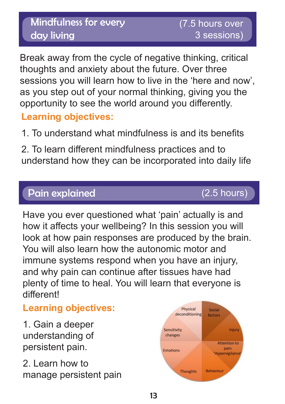#### Mindfulness for every day living

Break away from the cycle of negative thinking, critical thoughts and anxiety about the future. Over three sessions you will learn how to live in the 'here and now', as you step out of your normal thinking, giving you the opportunity to see the world around you differently.

#### **Learning objectives:**

1. To understand what mindfulness is and its benefits

2. To learn different mindfulness practices and to understand how they can be incorporated into daily life

#### Pain explained

(2.5 hours)

Have you ever questioned what 'pain' actually is and how it affects your wellbeing? In this session you will look at how pain responses are produced by the brain. You will also learn how the autonomic motor and immune systems respond when you have an injury, and why pain can continue after tissues have had plenty of time to heal. You will learn that everyone is different!

#### **Learning objectives:**

1. Gain a deeper understanding of persistent pain.

2. Learn how to manage persistent pain

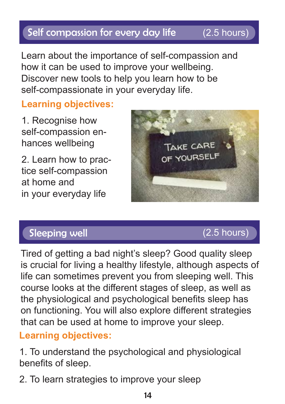#### Self compassion for every day life (2.5 hours)

(3 hours)

Learn about the importance of self-compassion and how it can be used to improve your wellbeing. Discover new tools to help you learn how to be self-compassionate in your everyday life.

**Learning objectives:**

1. Recognise how self-compassion enhances wellbeing

2. Learn how to practice self-compassion at home and in your everyday life



#### Sleeping well



Tired of getting a bad night's sleep? Good quality sleep is crucial for living a healthy lifestyle, although aspects of life can sometimes prevent you from sleeping well. This course looks at the different stages of sleep, as well as the physiological and psychological benefits sleep has on functioning. You will also explore different strategies that can be used at home to improve your sleep.

#### **Learning objectives:**

1. To understand the psychological and physiological benefits of sleep.

2. To learn strategies to improve your sleep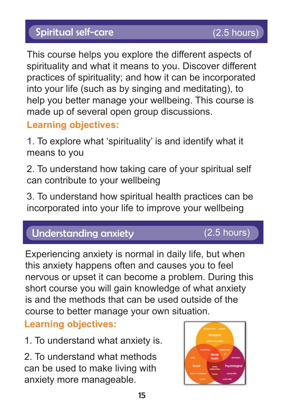#### Spiritual self-care

spirituality and what it means to you. Discover different This course helps you explore the different aspects of practices of spirituality; and how it can be incorporated into your life (such as by singing and meditating), to help you better manage your wellbeing. This course is made up of several open group discussions.

#### **Learning objectives:**

1. To explore what 'spirituality' is and identify what it means to you

2. To understand how taking care of your spiritual self can contribute to your wellbeing

3. To understand how spiritual health practices can be incorporated into your life to improve your wellbeing

#### Understanding anxiety

#### (2.5 hours)

Experiencing anxiety is normal in daily life, but when this anxiety happens often and causes you to feel nervous or upset it can become a problem. During this short course you will gain knowledge of what anxiety is and the methods that can be used outside of the course to better manage your own situation.

#### **Learning objectives:**

1. To understand what anxiety is.

2. To understand what methods can be used to make living with anxiety more manageable.

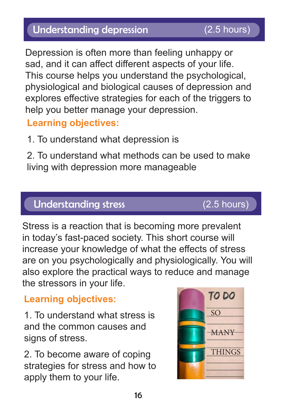#### Understanding depression (2.5 hours)

Depression is often more than feeling unhappy or sad, and it can affect different aspects of your life. This course helps you understand the psychological, physiological and biological causes of depression and explores effective strategies for each of the triggers to help you better manage your depression.

#### **Learning objectives:**

1. To understand what depression is

2. To understand what methods can be used to make living with depression more manageable

#### Understanding stress

#### Stress is a reaction that is becoming more prevalent in today's fast-paced society. This short course will increase your knowledge of what the effects of stress are on you psychologically and physiologically. You will also explore the practical ways to reduce and manage the stressors in your life.

#### **Learning objectives:**

1. To understand what stress is and the common causes and signs of stress.

2. To become aware of coping strategies for stress and how to apply them to your life.



#### (2.5 hours)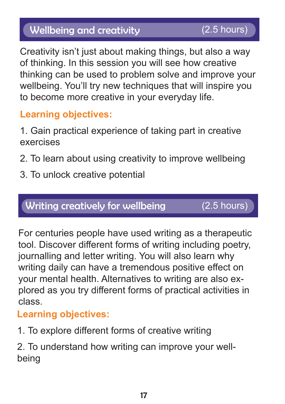#### Wellbeing and creativity

Creativity isn't just about making things, but also a way of thinking. In this session you will see how creative thinking can be used to problem solve and improve your wellbeing. You'll try new techniques that will inspire you to become more creative in your everyday life.

#### **Learning objectives:**

- 1. Gain practical experience of taking part in creative exercises
- 2. To learn about using creativity to improve wellbeing
- 3. To unlock creative potential

#### Writing creatively for wellbeing

 $\overline{a}$  hours over 1 session) and 1 session (  $\overline{a}$  ,  $\overline{a}$  ,  $\overline{b}$  ,  $\overline{c}$  ,  $\overline{c}$  ,  $\overline{c}$  ,  $\overline{c}$  ,  $\overline{c}$  ,  $\overline{c}$ (2.5 hours)

For centuries people have used writing as a therapeutic tool. Discover different forms of writing including poetry, journalling and letter writing. You will also learn why writing daily can have a tremendous positive effect on your mental health. Alternatives to writing are also explored as you try different forms of practical activities in class.

#### **Learning objectives:**

1. To explore different forms of creative writing

2. To understand how writing can improve your wellbeing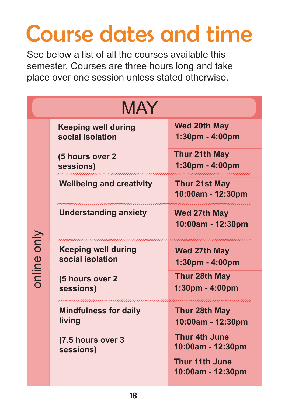## Course dates and time

See below a list of all the courses available this semester. Courses are three hours long and take place over one session unless stated otherwise.

| <b>MAY</b>  |                                                |                                            |  |
|-------------|------------------------------------------------|--------------------------------------------|--|
| poline only | <b>Keeping well during</b><br>social isolation | <b>Wed 20th May</b><br>1:30pm - 4:00pm     |  |
|             | (5 hours over 2<br>sessions)                   | Thur 21th May<br>1:30pm - 4:00pm           |  |
|             | <b>Wellbeing and creativity</b>                | <b>Thur 21st May</b><br>10:00am - 12:30pm  |  |
|             | <b>Understanding anxiety</b>                   | <b>Wed 27th May</b><br>10:00am - 12:30pm   |  |
|             | <b>Keeping well during</b><br>social isolation | <b>Wed 27th May</b><br>1:30pm - 4:00pm     |  |
|             | (5 hours over 2<br>sessions)                   | Thur 28th May<br>1:30pm - 4:00pm           |  |
|             | <b>Mindfulness for daily</b><br>living         | Thur 28th May<br>10:00am - 12:30pm         |  |
|             | (7.5 hours over 3<br>sessions)                 | <b>Thur 4th June</b><br>10:00am - 12:30pm  |  |
|             |                                                | <b>Thur 11th June</b><br>10:00am - 12:30pm |  |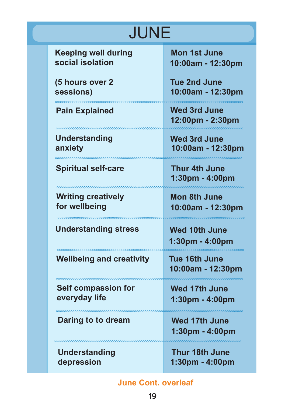## JUNE

**Keeping well during social isolation**

**(5 hours over 2 sessions)**

#### **Pain Explained Wed 3rd June**

**Understanding anxiety**

**Spiritual self-care**

#### **Writing creatively for wellbeing**

**Understanding stress**

**Wellbeing and creativity**

**Self compassion for everyday life**

**Daring to to dream Wed 17th June** 

<u>mmmmmmmmmmmmm</u>

**Understanding depression**

 **Mon 1st June 10:00am - 12:30pm**

**Tue 2nd June 10:00am - 12:30pm**

**12:00pm - 2:30pm**

**Wed 3rd June 10:00am - 12:30pm**

 **Thur 4th June 1:30pm - 4:00pm**

**Mon 8th June 10:00am - 12:30pm**

**1:30pm - 4:00pm Wed 10th June**

**Tue 16th June 10:00am - 12:30pm**

mmmmmmmmmm

 **Wed 17th June 1:30pm - 4:00pm**

**1:30pm - 4:00pm**

 **Thur 18th June 1:30pm - 4:00pm**

**June Cont. overleaf**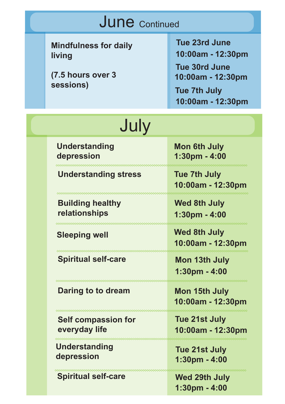| <b>June</b> Continued |                                                                          |                                                                                                                                    |  |  |
|-----------------------|--------------------------------------------------------------------------|------------------------------------------------------------------------------------------------------------------------------------|--|--|
|                       | <b>Mindfulness for daily</b><br>living<br>(7.5 hours over 3<br>sessions) | <b>Tue 23rd June</b><br>10:00am - 12:30pm<br><b>Tue 30rd June</b><br>10:00am - 12:30pm<br><b>Tue 7th July</b><br>10:00am - 12:30pm |  |  |
| July                  |                                                                          |                                                                                                                                    |  |  |
|                       | <b>Understanding</b><br>depression                                       | <b>Mon 6th July</b><br>1:30pm - 4:00                                                                                               |  |  |
|                       | <b>Understanding stress</b>                                              | <b>Tue 7th July</b><br>10:00am - 12:30pm                                                                                           |  |  |
|                       | <b>Building healthy</b><br>relationships                                 | <b>Wed 8th July</b><br>1:30pm - 4:00                                                                                               |  |  |
|                       | <b>Sleeping well</b>                                                     | <b>Wed 8th July</b><br>10:00am - 12:30pm                                                                                           |  |  |
|                       | <b>Spiritual self-care</b>                                               | Mon 13th July<br>1:30pm - 4:00                                                                                                     |  |  |
|                       | Daring to to dream                                                       | Mon 15th July<br>10:00am - 12:30pm                                                                                                 |  |  |
|                       | <b>Self compassion for</b><br>everyday life                              | <b>Tue 21st July</b><br>10:00am - 12:30pm                                                                                          |  |  |
|                       | <b>Understanding</b><br>depression                                       | Tue 21st July<br>1:30pm - 4:00                                                                                                     |  |  |
|                       | <b>Spiritual self-care</b>                                               | <b>Wed 29th July</b><br>$1:30$ pm - $4:00$                                                                                         |  |  |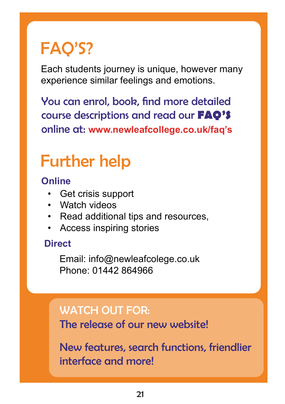## FAQ'S?

Each students journey is unique, however many experience similar feelings and emotions.

You can enrol, book, find more detailed course descriptions and read our **FAQ'S** online at: **www.newleafcollege.co.uk/faq's**

## Further help

**Online**

- Get crisis support
- Watch videos
- Read additional tips and resources,
- Access inspiring stories

#### **Direct**

Email: info@newleafcolege.co.uk Phone: 01442 864966

#### WATCH OUT FOR:

The release of our new website!

New features, search functions, friendlier interface and more!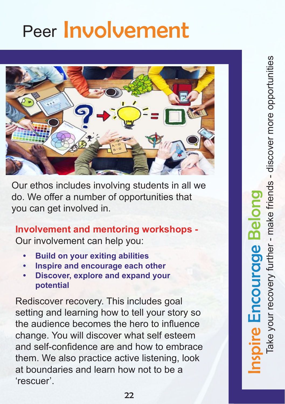## Peer Involvement



Our ethos includes involving students in all we do. We offer a number of opportunities that you can get involved in.

**Involvement and mentoring workshops -**  Our involvement can help you:

- **• Build on your exiting abilities**
- **• Inspire and encourage each other**
- **• Discover, explore and expand your potential**

Rediscover recovery. This includes goal setting and learning how to tell your story so the audience becomes the hero to influence change. You will discover what self esteem and self-confidence are and how to embrace them. We also practice active listening, look at boundaries and learn how not to be a 'rescuer'.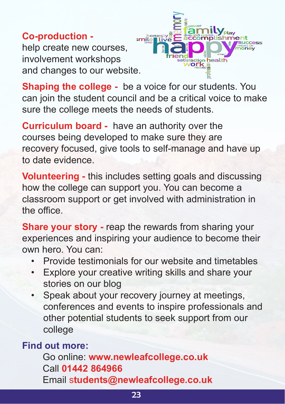**Co-production**  help create new courses, involvement workshops and changes to our website.



**Shaping the college -** be a voice for our students. You can join the student council and be a critical voice to make sure the college meets the needs of students.

**Curriculum board -** have an authority over the courses being developed to make sure they are recovery focused, give tools to self-manage and have up to date evidence.

**Volunteering -** this includes setting goals and discussing how the college can support you. You can become a classroom support or get involved with administration in the office.

**Share your story -** reap the rewards from sharing your experiences and inspiring your audience to become their own hero. You can:

- Provide testimonials for our website and timetables
- Explore your creative writing skills and share your stories on our blog
- Speak about your recovery journey at meetings, conferences and events to inspire professionals and other potential students to seek support from our college

#### **Find out more:**

Go online: **www.newleafcollege.co.uk** Call **01442 864966**  Email s**tudents@newleafcollege.co.uk**